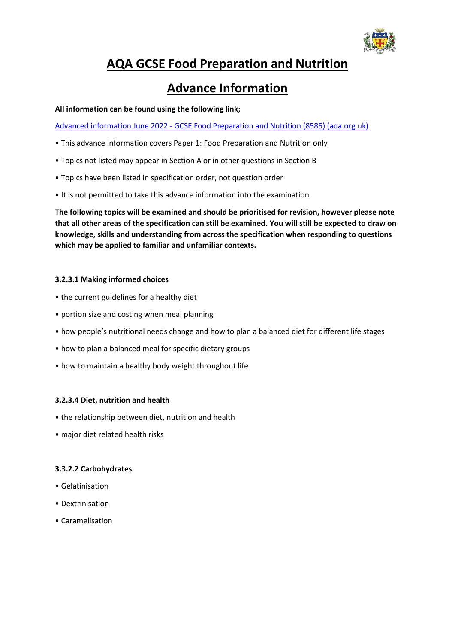

# **AQA GCSE Food Preparation and Nutrition**

## **Advance Information**

**All information can be found using the following link;**

Advanced information June 2022 - [GCSE Food Preparation and Nutrition \(8585\) \(aqa.org.uk\)](https://filestore.aqa.org.uk/content/summer-2022/AQA-8585-AI-22.PDF)

- This advance information covers Paper 1: Food Preparation and Nutrition only
- Topics not listed may appear in Section A or in other questions in Section B
- Topics have been listed in specification order, not question order
- It is not permitted to take this advance information into the examination.

**The following topics will be examined and should be prioritised for revision, however please note that all other areas of the specification can still be examined. You will still be expected to draw on knowledge, skills and understanding from across the specification when responding to questions which may be applied to familiar and unfamiliar contexts.**

### **3.2.3.1 Making informed choices**

- the current guidelines for a healthy diet
- portion size and costing when meal planning
- how people's nutritional needs change and how to plan a balanced diet for different life stages
- how to plan a balanced meal for specific dietary groups
- how to maintain a healthy body weight throughout life

#### **3.2.3.4 Diet, nutrition and health**

- the relationship between diet, nutrition and health
- major diet related health risks

#### **3.3.2.2 Carbohydrates**

- Gelatinisation
- Dextrinisation
- Caramelisation